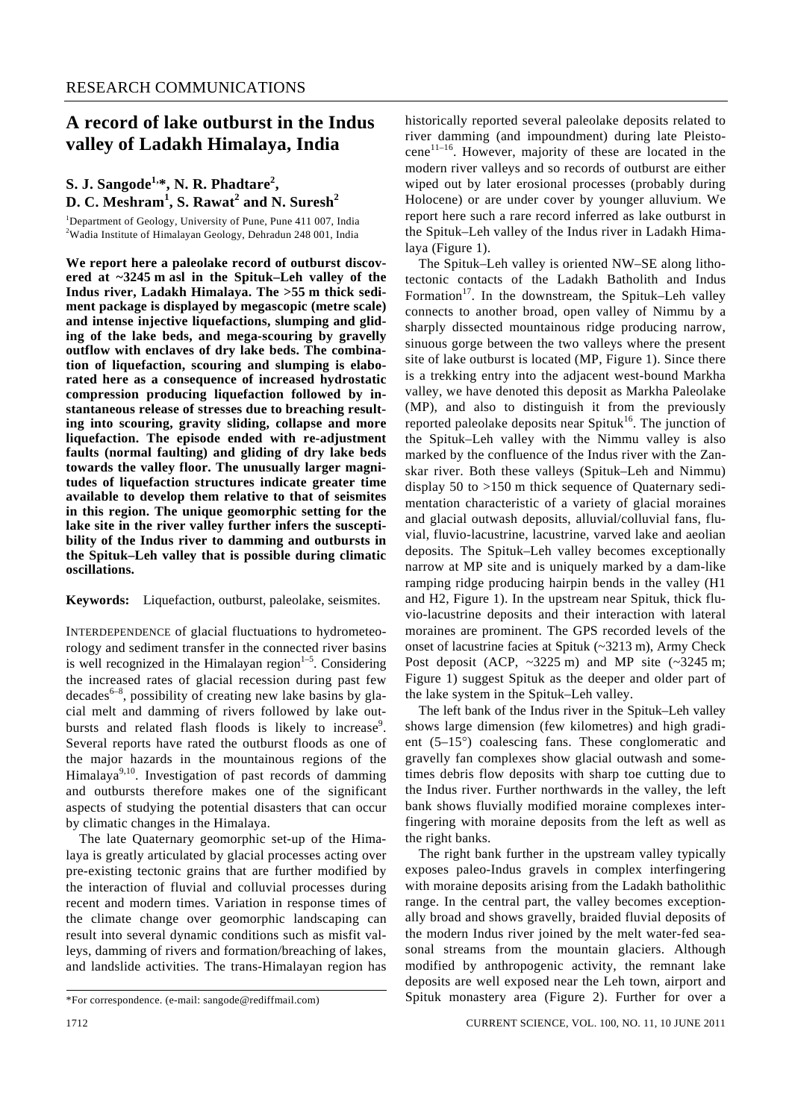# **A record of lake outburst in the Indus valley of Ladakh Himalaya, India**

## $\mathbf{S}$ . J. Sangode<sup>1, $\ast$ </sup>, N. R. Phadtare<sup>2</sup>, **D. C. Meshram<sup>1</sup> , S. Rawat<sup>2</sup> and N. Suresh<sup>2</sup>**

<sup>1</sup>Department of Geology, University of Pune, Pune 411 007, India <sup>2</sup>Wedia Institute of Himalayan Geology, Debredyn 248,001, India Wadia Institute of Himalayan Geology, Dehradun 248 001, India

**We report here a paleolake record of outburst discovered at ~3245 m asl in the Spituk–Leh valley of the Indus river, Ladakh Himalaya. The >55 m thick sediment package is displayed by megascopic (metre scale) and intense injective liquefactions, slumping and gliding of the lake beds, and mega-scouring by gravelly outflow with enclaves of dry lake beds. The combination of liquefaction, scouring and slumping is elaborated here as a consequence of increased hydrostatic compression producing liquefaction followed by instantaneous release of stresses due to breaching resulting into scouring, gravity sliding, collapse and more liquefaction. The episode ended with re-adjustment faults (normal faulting) and gliding of dry lake beds towards the valley floor. The unusually larger magnitudes of liquefaction structures indicate greater time available to develop them relative to that of seismites in this region. The unique geomorphic setting for the lake site in the river valley further infers the susceptibility of the Indus river to damming and outbursts in the Spituk–Leh valley that is possible during climatic oscillations.** 

**Keywords:** Liquefaction, outburst, paleolake, seismites.

INTERDEPENDENCE of glacial fluctuations to hydrometeorology and sediment transfer in the connected river basins is well recognized in the Himalayan region $1-5$ . Considering the increased rates of glacial recession during past few  $decades^{6-8}$ , possibility of creating new lake basins by glacial melt and damming of rivers followed by lake outbursts and related flash floods is likely to increase<sup>9</sup>. Several reports have rated the outburst floods as one of the major hazards in the mountainous regions of the Himalaya $9,10$ . Investigation of past records of damming and outbursts therefore makes one of the significant aspects of studying the potential disasters that can occur by climatic changes in the Himalaya.

 The late Quaternary geomorphic set-up of the Himalaya is greatly articulated by glacial processes acting over pre-existing tectonic grains that are further modified by the interaction of fluvial and colluvial processes during recent and modern times. Variation in response times of the climate change over geomorphic landscaping can result into several dynamic conditions such as misfit valleys, damming of rivers and formation/breaching of lakes, and landslide activities. The trans-Himalayan region has historically reported several paleolake deposits related to river damming (and impoundment) during late Pleistocene<sup>11-16</sup>. However, majority of these are located in the modern river valleys and so records of outburst are either wiped out by later erosional processes (probably during Holocene) or are under cover by younger alluvium. We report here such a rare record inferred as lake outburst in the Spituk–Leh valley of the Indus river in Ladakh Himalaya (Figure 1).

 The Spituk–Leh valley is oriented NW–SE along lithotectonic contacts of the Ladakh Batholith and Indus Formation<sup>17</sup>. In the downstream, the Spituk–Leh valley connects to another broad, open valley of Nimmu by a sharply dissected mountainous ridge producing narrow, sinuous gorge between the two valleys where the present site of lake outburst is located (MP, Figure 1). Since there is a trekking entry into the adjacent west-bound Markha valley, we have denoted this deposit as Markha Paleolake (MP), and also to distinguish it from the previously reported paleolake deposits near Spituk<sup>16</sup>. The junction of the Spituk–Leh valley with the Nimmu valley is also marked by the confluence of the Indus river with the Zanskar river. Both these valleys (Spituk–Leh and Nimmu) display 50 to >150 m thick sequence of Quaternary sedimentation characteristic of a variety of glacial moraines and glacial outwash deposits, alluvial/colluvial fans, fluvial, fluvio-lacustrine, lacustrine, varved lake and aeolian deposits. The Spituk–Leh valley becomes exceptionally narrow at MP site and is uniquely marked by a dam-like ramping ridge producing hairpin bends in the valley (H1 and H2, Figure 1). In the upstream near Spituk, thick fluvio-lacustrine deposits and their interaction with lateral moraines are prominent. The GPS recorded levels of the onset of lacustrine facies at Spituk (~3213 m), Army Check Post deposit (ACP,  $\sim$ 3225 m) and MP site ( $\sim$ 3245 m; Figure 1) suggest Spituk as the deeper and older part of the lake system in the Spituk–Leh valley.

 The left bank of the Indus river in the Spituk–Leh valley shows large dimension (few kilometres) and high gradient (5–15°) coalescing fans. These conglomeratic and gravelly fan complexes show glacial outwash and sometimes debris flow deposits with sharp toe cutting due to the Indus river. Further northwards in the valley, the left bank shows fluvially modified moraine complexes interfingering with moraine deposits from the left as well as the right banks.

The right bank further in the upstream valley typically exposes paleo-Indus gravels in complex interfingering with moraine deposits arising from the Ladakh batholithic range. In the central part, the valley becomes exceptionally broad and shows gravelly, braided fluvial deposits of the modern Indus river joined by the melt water-fed seasonal streams from the mountain glaciers. Although modified by anthropogenic activity, the remnant lake deposits are well exposed near the Leh town, airport and Spituk monastery area (Figure 2). Further for over a

<sup>\*</sup>For correspondence. (e-mail: sangode@rediffmail.com)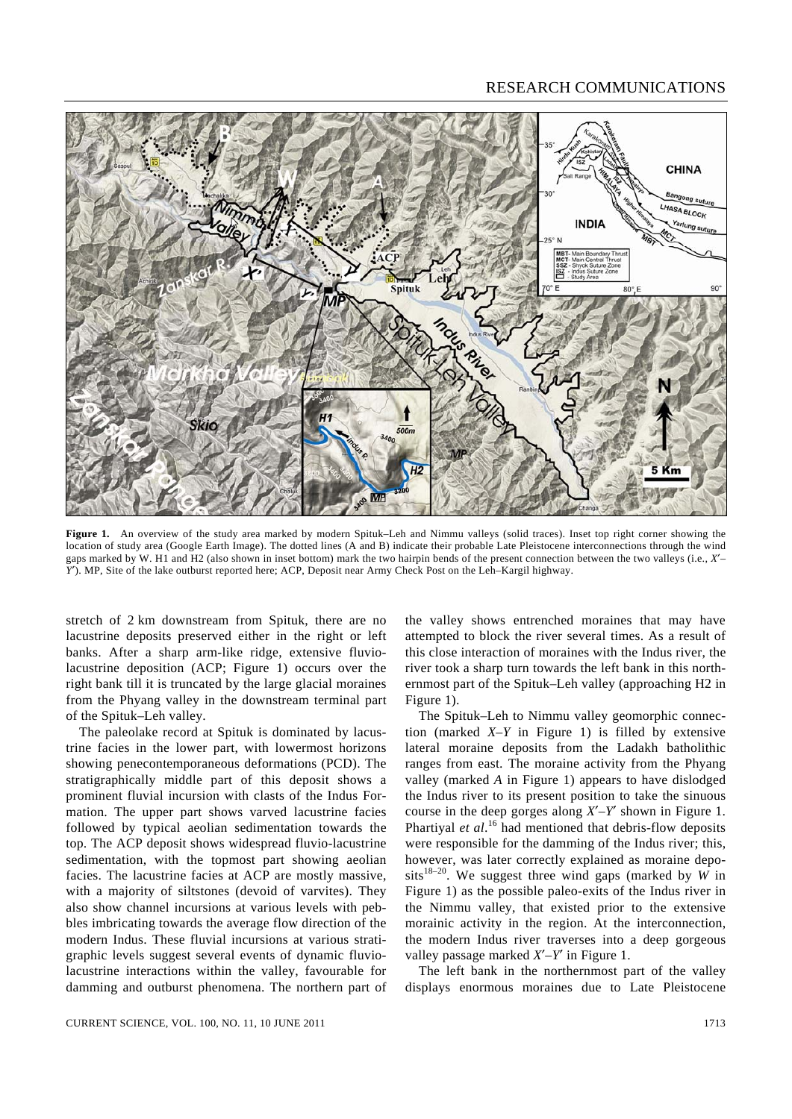

**Figure 1.** An overview of the study area marked by modern Spituk–Leh and Nimmu valleys (solid traces). Inset top right corner showing the location of study area (Google Earth Image). The dotted lines (A and B) indicate their probable Late Pleistocene interconnections through the wind gaps marked by W. H1 and H2 (also shown in inset bottom) mark the two hairpin bends of the present connection between the two valleys (i.e., *X*′– *Y*′). MP, Site of the lake outburst reported here; ACP, Deposit near Army Check Post on the Leh–Kargil highway.

stretch of 2 km downstream from Spituk, there are no lacustrine deposits preserved either in the right or left banks. After a sharp arm-like ridge, extensive fluviolacustrine deposition (ACP; Figure 1) occurs over the right bank till it is truncated by the large glacial moraines from the Phyang valley in the downstream terminal part of the Spituk–Leh valley.

 The paleolake record at Spituk is dominated by lacustrine facies in the lower part, with lowermost horizons showing penecontemporaneous deformations (PCD). The stratigraphically middle part of this deposit shows a prominent fluvial incursion with clasts of the Indus Formation. The upper part shows varved lacustrine facies followed by typical aeolian sedimentation towards the top. The ACP deposit shows widespread fluvio-lacustrine sedimentation, with the topmost part showing aeolian facies. The lacustrine facies at ACP are mostly massive, with a majority of siltstones (devoid of varvites). They also show channel incursions at various levels with pebbles imbricating towards the average flow direction of the modern Indus. These fluvial incursions at various stratigraphic levels suggest several events of dynamic fluviolacustrine interactions within the valley, favourable for damming and outburst phenomena. The northern part of

the valley shows entrenched moraines that may have attempted to block the river several times. As a result of this close interaction of moraines with the Indus river, the river took a sharp turn towards the left bank in this northernmost part of the Spituk–Leh valley (approaching H2 in Figure 1).

 The Spituk–Leh to Nimmu valley geomorphic connection (marked *X–Y* in Figure 1) is filled by extensive lateral moraine deposits from the Ladakh batholithic ranges from east. The moraine activity from the Phyang valley (marked *A* in Figure 1) appears to have dislodged the Indus river to its present position to take the sinuous course in the deep gorges along *X*′–*Y*′ shown in Figure 1. Phartiyal *et al.*<sup>16</sup> had mentioned that debris-flow deposits were responsible for the damming of the Indus river; this, however, was later correctly explained as moraine deposits<sup>18-20</sup>. We suggest three wind gaps (marked by  $W$  in Figure 1) as the possible paleo-exits of the Indus river in the Nimmu valley, that existed prior to the extensive morainic activity in the region. At the interconnection, the modern Indus river traverses into a deep gorgeous valley passage marked *X*′–*Y*′ in Figure 1.

 The left bank in the northernmost part of the valley displays enormous moraines due to Late Pleistocene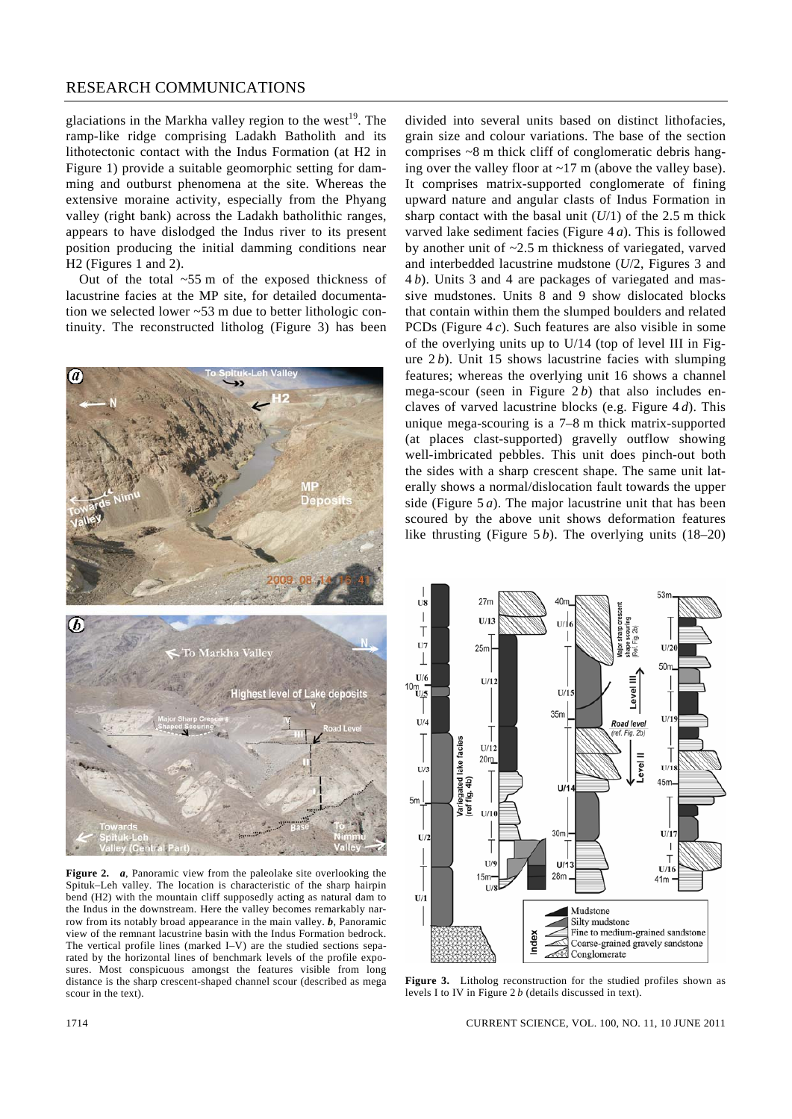glaciations in the Markha valley region to the west<sup>19</sup>. The ramp-like ridge comprising Ladakh Batholith and its lithotectonic contact with the Indus Formation (at H2 in Figure 1) provide a suitable geomorphic setting for damming and outburst phenomena at the site. Whereas the extensive moraine activity, especially from the Phyang valley (right bank) across the Ladakh batholithic ranges, appears to have dislodged the Indus river to its present position producing the initial damming conditions near H2 (Figures 1 and 2).

 Out of the total ~55 m of the exposed thickness of lacustrine facies at the MP site, for detailed documentation we selected lower ~53 m due to better lithologic continuity. The reconstructed litholog (Figure 3) has been



**Figure 2.** *a*, Panoramic view from the paleolake site overlooking the Spituk–Leh valley. The location is characteristic of the sharp hairpin bend (H2) with the mountain cliff supposedly acting as natural dam to the Indus in the downstream. Here the valley becomes remarkably narrow from its notably broad appearance in the main valley. *b*, Panoramic view of the remnant lacustrine basin with the Indus Formation bedrock. The vertical profile lines (marked I–V) are the studied sections separated by the horizontal lines of benchmark levels of the profile exposures. Most conspicuous amongst the features visible from long distance is the sharp crescent-shaped channel scour (described as mega scour in the text).

divided into several units based on distinct lithofacies, grain size and colour variations. The base of the section comprises ~8 m thick cliff of conglomeratic debris hanging over the valley floor at ~17 m (above the valley base). It comprises matrix-supported conglomerate of fining upward nature and angular clasts of Indus Formation in sharp contact with the basal unit  $(U/1)$  of the 2.5 m thick varved lake sediment facies (Figure 4 *a*). This is followed by another unit of ~2.5 m thickness of variegated, varved and interbedded lacustrine mudstone (*U*/2, Figures 3 and 4 *b*). Units 3 and 4 are packages of variegated and massive mudstones. Units 8 and 9 show dislocated blocks that contain within them the slumped boulders and related PCDs (Figure 4 *c*). Such features are also visible in some of the overlying units up to U/14 (top of level III in Figure 2 *b*). Unit 15 shows lacustrine facies with slumping features; whereas the overlying unit 16 shows a channel mega-scour (seen in Figure 2b) that also includes enclaves of varved lacustrine blocks (e.g. Figure 4 *d*). This unique mega-scouring is a 7–8 m thick matrix-supported (at places clast-supported) gravelly outflow showing well-imbricated pebbles. This unit does pinch-out both the sides with a sharp crescent shape. The same unit laterally shows a normal/dislocation fault towards the upper side (Figure 5 *a*). The major lacustrine unit that has been scoured by the above unit shows deformation features like thrusting (Figure 5*b*). The overlying units (18–20)



**Figure 3.** Litholog reconstruction for the studied profiles shown as levels I to IV in Figure 2 *b* (details discussed in text).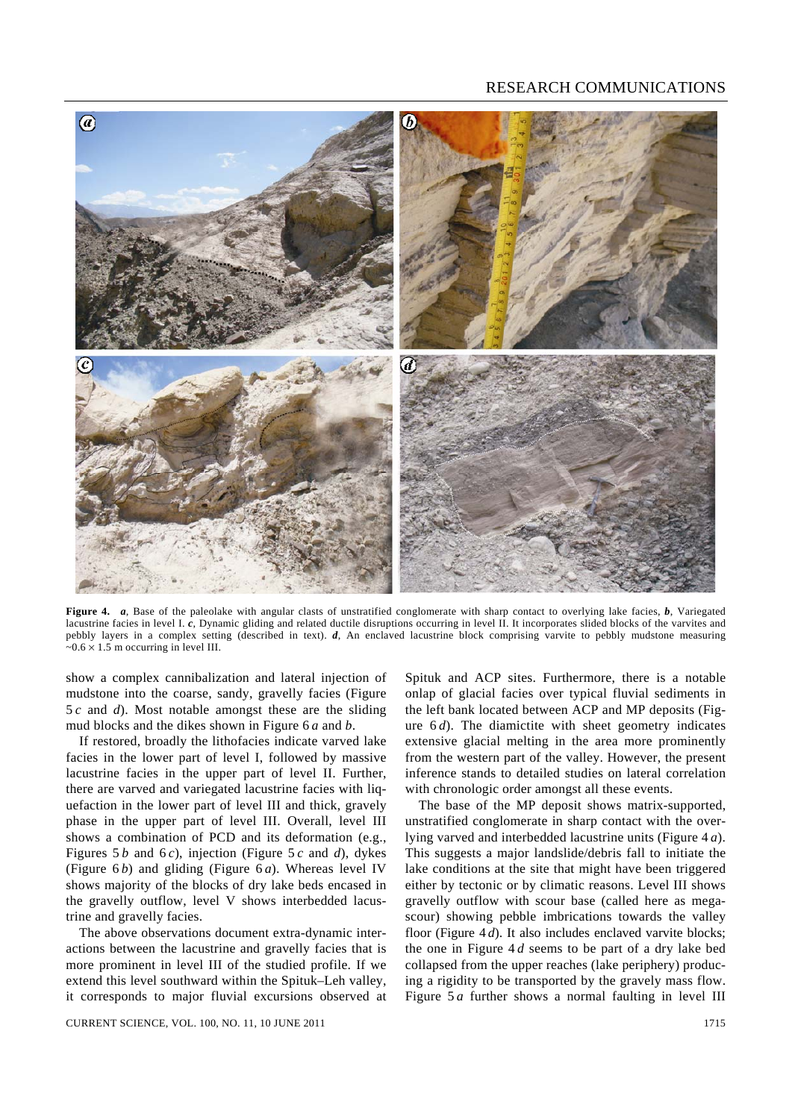

**Figure 4.** *a*, Base of the paleolake with angular clasts of unstratified conglomerate with sharp contact to overlying lake facies, *b*, Variegated lacustrine facies in level I. *c*, Dynamic gliding and related ductile disruptions occurring in level II. It incorporates slided blocks of the varvites and pebbly layers in a complex setting (described in text). *d*, An enclaved lacustrine block comprising varvite to pebbly mudstone measuring  $\sim 0.6 \times 1.5$  m occurring in level III.

show a complex cannibalization and lateral injection of mudstone into the coarse, sandy, gravelly facies (Figure 5 *c* and *d*). Most notable amongst these are the sliding mud blocks and the dikes shown in Figure 6 *a* and *b*.

 If restored, broadly the lithofacies indicate varved lake facies in the lower part of level I, followed by massive lacustrine facies in the upper part of level II. Further, there are varved and variegated lacustrine facies with liquefaction in the lower part of level III and thick, gravely phase in the upper part of level III. Overall, level III shows a combination of PCD and its deformation (e.g., Figures 5 *b* and 6 *c*), injection (Figure 5 *c* and *d*), dykes (Figure 6 *b*) and gliding (Figure 6 *a*). Whereas level IV shows majority of the blocks of dry lake beds encased in the gravelly outflow, level V shows interbedded lacustrine and gravelly facies.

 The above observations document extra-dynamic interactions between the lacustrine and gravelly facies that is more prominent in level III of the studied profile. If we extend this level southward within the Spituk–Leh valley, it corresponds to major fluvial excursions observed at Spituk and ACP sites. Furthermore, there is a notable onlap of glacial facies over typical fluvial sediments in the left bank located between ACP and MP deposits (Figure 6*d*). The diamictite with sheet geometry indicates extensive glacial melting in the area more prominently from the western part of the valley. However, the present inference stands to detailed studies on lateral correlation with chronologic order amongst all these events.

 The base of the MP deposit shows matrix-supported, unstratified conglomerate in sharp contact with the overlying varved and interbedded lacustrine units (Figure 4 *a*). This suggests a major landslide/debris fall to initiate the lake conditions at the site that might have been triggered either by tectonic or by climatic reasons. Level III shows gravelly outflow with scour base (called here as megascour) showing pebble imbrications towards the valley floor (Figure 4 *d*). It also includes enclaved varvite blocks; the one in Figure 4 *d* seems to be part of a dry lake bed collapsed from the upper reaches (lake periphery) producing a rigidity to be transported by the gravely mass flow. Figure 5*a* further shows a normal faulting in level III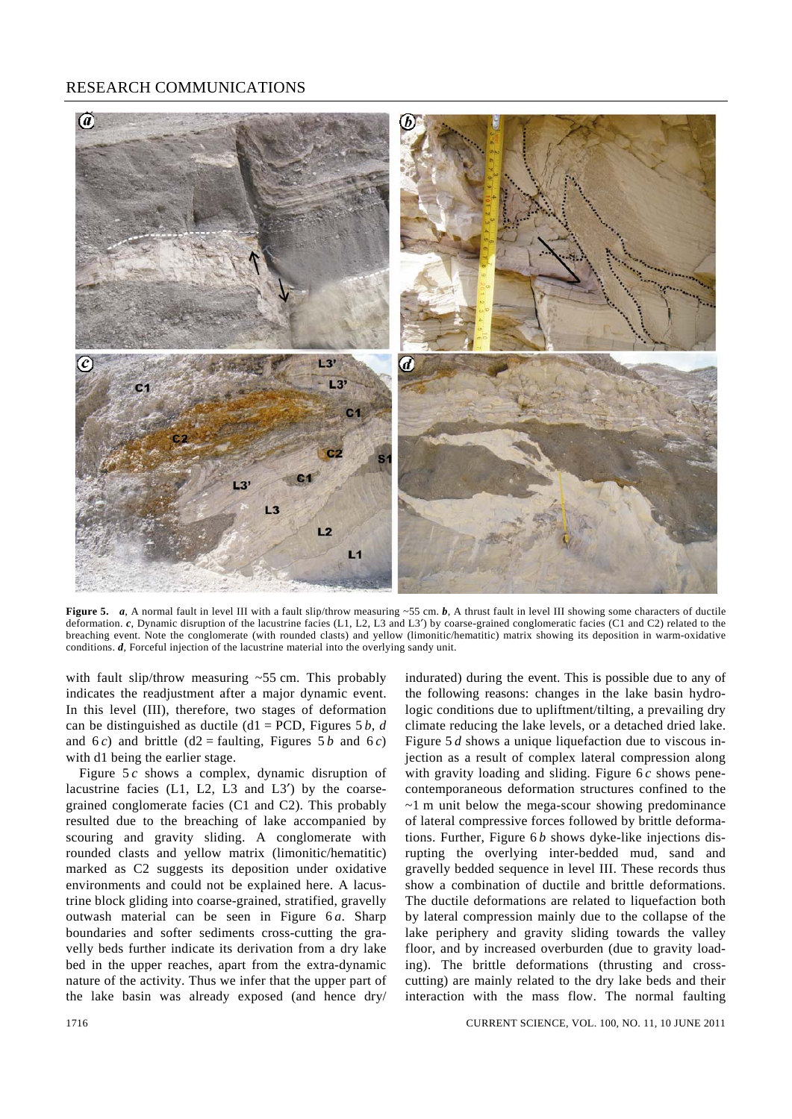

**Figure 5.** *a*, A normal fault in level III with a fault slip/throw measuring ~55 cm. *b*, A thrust fault in level III showing some characters of ductile deformation. *c*, Dynamic disruption of the lacustrine facies (L1, L2, L3 and L3′) by coarse-grained conglomeratic facies (C1 and C2) related to the breaching event. Note the conglomerate (with rounded clasts) and yellow (limonitic/hematitic) matrix showing its deposition in warm-oxidative conditions. *d*, Forceful injection of the lacustrine material into the overlying sandy unit.

with fault slip/throw measuring  $\sim$  55 cm. This probably indicates the readjustment after a major dynamic event. In this level (III), therefore, two stages of deformation can be distinguished as ductile (d1 = PCD, Figures 5 *b*, *d* and 6*c*) and brittle (d2 = faulting, Figures 5*b* and 6*c*) with d1 being the earlier stage.

 Figure 5 *c* shows a complex, dynamic disruption of lacustrine facies (L1, L2, L3 and L3′) by the coarsegrained conglomerate facies (C1 and C2). This probably resulted due to the breaching of lake accompanied by scouring and gravity sliding. A conglomerate with rounded clasts and yellow matrix (limonitic/hematitic) marked as C2 suggests its deposition under oxidative environments and could not be explained here. A lacustrine block gliding into coarse-grained, stratified, gravelly outwash material can be seen in Figure 6 *a*. Sharp boundaries and softer sediments cross-cutting the gravelly beds further indicate its derivation from a dry lake bed in the upper reaches, apart from the extra-dynamic nature of the activity. Thus we infer that the upper part of the lake basin was already exposed (and hence dry/ indurated) during the event. This is possible due to any of the following reasons: changes in the lake basin hydrologic conditions due to upliftment/tilting, a prevailing dry climate reducing the lake levels, or a detached dried lake. Figure 5 *d* shows a unique liquefaction due to viscous injection as a result of complex lateral compression along with gravity loading and sliding. Figure 6 *c* shows penecontemporaneous deformation structures confined to the ~1 m unit below the mega-scour showing predominance of lateral compressive forces followed by brittle deformations. Further, Figure 6 *b* shows dyke-like injections disrupting the overlying inter-bedded mud, sand and gravelly bedded sequence in level III. These records thus show a combination of ductile and brittle deformations. The ductile deformations are related to liquefaction both by lateral compression mainly due to the collapse of the lake periphery and gravity sliding towards the valley floor, and by increased overburden (due to gravity loading). The brittle deformations (thrusting and crosscutting) are mainly related to the dry lake beds and their interaction with the mass flow. The normal faulting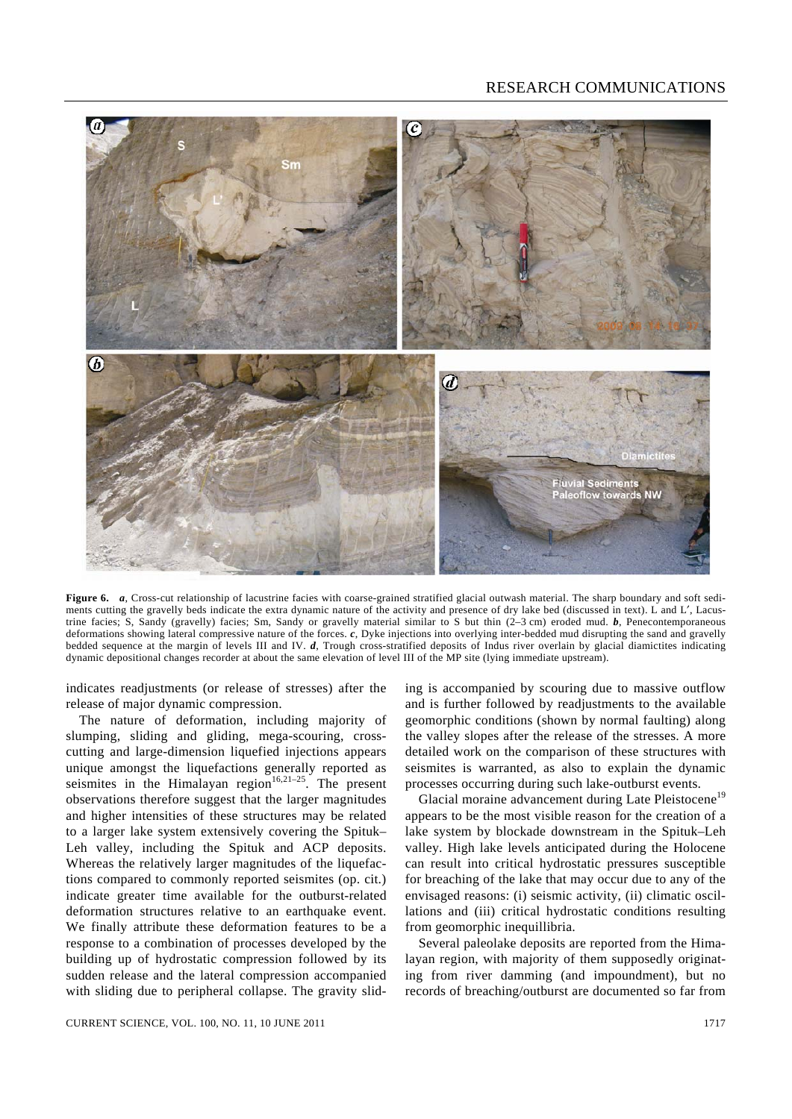

**Figure 6.** *a*, Cross-cut relationship of lacustrine facies with coarse-grained stratified glacial outwash material. The sharp boundary and soft sediments cutting the gravelly beds indicate the extra dynamic nature of the activity and presence of dry lake bed (discussed in text). L and L', Lacustrine facies; S, Sandy (gravelly) facies; Sm, Sandy or gravelly material similar to S but thin (2–3 cm) eroded mud. *b*, Penecontemporaneous deformations showing lateral compressive nature of the forces. *c*, Dyke injections into overlying inter-bedded mud disrupting the sand and gravelly bedded sequence at the margin of levels III and IV. *d*, Trough cross-stratified deposits of Indus river overlain by glacial diamictites indicating dynamic depositional changes recorder at about the same elevation of level III of the MP site (lying immediate upstream).

indicates readjustments (or release of stresses) after the release of major dynamic compression.

 The nature of deformation, including majority of slumping, sliding and gliding, mega-scouring, crosscutting and large-dimension liquefied injections appears unique amongst the liquefactions generally reported as seismites in the Himalayan region<sup>16,21–25</sup>. The present observations therefore suggest that the larger magnitudes and higher intensities of these structures may be related to a larger lake system extensively covering the Spituk– Leh valley, including the Spituk and ACP deposits. Whereas the relatively larger magnitudes of the liquefactions compared to commonly reported seismites (op. cit.) indicate greater time available for the outburst-related deformation structures relative to an earthquake event. We finally attribute these deformation features to be a response to a combination of processes developed by the building up of hydrostatic compression followed by its sudden release and the lateral compression accompanied with sliding due to peripheral collapse. The gravity sliding is accompanied by scouring due to massive outflow and is further followed by readjustments to the available geomorphic conditions (shown by normal faulting) along the valley slopes after the release of the stresses. A more detailed work on the comparison of these structures with seismites is warranted, as also to explain the dynamic processes occurring during such lake-outburst events.

Glacial moraine advancement during Late Pleistocene<sup>19</sup> appears to be the most visible reason for the creation of a lake system by blockade downstream in the Spituk–Leh valley. High lake levels anticipated during the Holocene can result into critical hydrostatic pressures susceptible for breaching of the lake that may occur due to any of the envisaged reasons: (i) seismic activity, (ii) climatic oscillations and (iii) critical hydrostatic conditions resulting from geomorphic inequillibria.

 Several paleolake deposits are reported from the Himalayan region, with majority of them supposedly originating from river damming (and impoundment), but no records of breaching/outburst are documented so far from